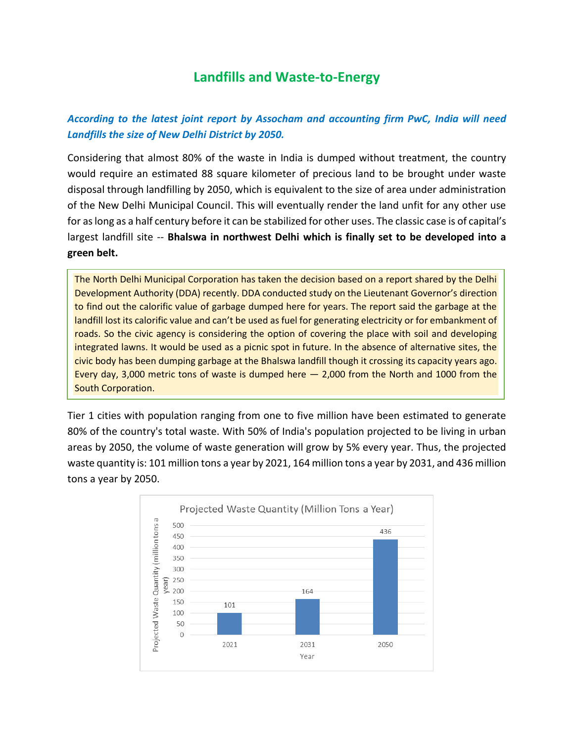# **Landfills and Waste-to-Energy**

# *According to the latest joint report by Assocham and accounting firm PwC, India will need Landfills the size of New Delhi District by 2050.*

Considering that almost 80% of the waste in India is dumped without treatment, the country would require an estimated 88 square kilometer of precious land to be brought under waste disposal through landfilling by 2050, which is equivalent to the size of area under administration of the New Delhi Municipal Council. This will eventually render the land unfit for any other use for as long as a half century before it can be stabilized for other uses. The classic case is of capital's largest landfill site -- **Bhalswa in northwest Delhi which is finally set to be developed into a green belt.**

The North Delhi Municipal Corporation has taken the decision based on a report shared by the Delhi Development Authority (DDA) recently. DDA conducted study on the Lieutenant Governor's direction to find out the calorific value of garbage dumped here for years. The report said the garbage at the landfill lost its calorific value and can't be used as fuel for generating electricity or for embankment of roads. So the civic agency is considering the option of covering the place with soil and developing integrated lawns. It would be used as a picnic spot in future. In the absence of alternative sites, the civic body has been dumping garbage at the Bhalswa landfill though it crossing its capacity years ago. Every day, 3,000 metric tons of waste is dumped here  $-$  2,000 from the North and 1000 from the South Corporation.

Tier 1 cities with population ranging from one to five million have been estimated to generate 80% of the country's total waste. With 50% of India's population projected to be living in urban areas by 2050, the volume of waste generation will grow by 5% every year. Thus, the projected waste quantity is: 101 million tons a year by 2021, 164 million tons a year by 2031, and 436 million tons a year by 2050.

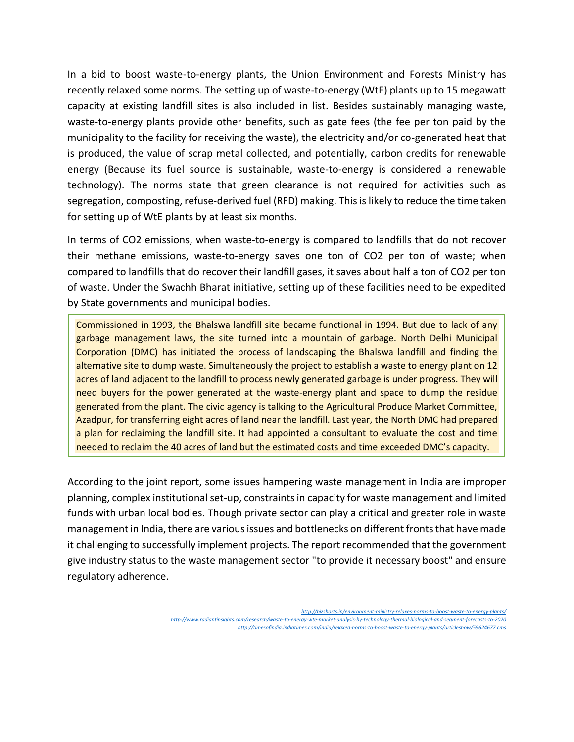In a bid to boost waste-to-energy plants, the Union Environment and Forests Ministry has recently relaxed some norms. The setting up of waste-to-energy (WtE) plants up to 15 megawatt capacity at existing landfill sites is also included in list. Besides sustainably managing waste, waste-to-energy plants provide other benefits, such as gate fees (the fee per ton paid by the municipality to the facility for receiving the waste), the electricity and/or co-generated heat that is produced, the value of scrap metal collected, and potentially, carbon credits for renewable energy (Because its fuel source is sustainable, waste-to-energy is considered a renewable technology). The norms state that green clearance is not required for activities such as segregation, composting, refuse-derived fuel (RFD) making. This is likely to reduce the time taken for setting up of WtE plants by at least six months.

In terms of CO2 emissions, when waste-to-energy is compared to landfills that do not recover their methane emissions, waste-to-energy saves one ton of CO2 per ton of waste; when compared to landfills that do recover their landfill gases, it saves about half a ton of CO2 per ton of waste. Under the Swachh Bharat initiative, setting up of these facilities need to be expedited by State governments and municipal bodies.

Commissioned in 1993, the Bhalswa landfill site became functional in 1994. But due to lack of any garbage management laws, the site turned into a mountain of garbage. North Delhi Municipal Corporation (DMC) has initiated the process of landscaping the Bhalswa landfill and finding the alternative site to dump waste. Simultaneously the project to establish a waste to energy plant on 12 acres of land adjacent to the landfill to process newly generated garbage is under progress. They will need buyers for the power generated at the waste-energy plant and space to dump the residue generated from the plant. The civic agency is talking to the Agricultural Produce Market Committee, Azadpur, for transferring eight acres of land near the landfill. Last year, the North DMC had prepared a plan for reclaiming the landfill site. It had appointed a consultant to evaluate the cost and time needed to reclaim the 40 acres of land but the estimated costs and time exceeded DMC's capacity.

According to the joint report, some issues hampering waste management in India are improper planning, complex institutional set-up, constraints in capacity for waste management and limited funds with urban local bodies. Though private sector can play a critical and greater role in waste management in India, there are various issues and bottlenecks on different fronts that have made it challenging to successfully implement projects. The report recommended that the government give industry status to the waste management sector "to provide it necessary boost" and ensure regulatory adherence.

> *<http://bizshorts.in/environment-ministry-relaxes-norms-to-boost-waste-to-energy-plants/> <http://www.radiantinsights.com/research/waste-to-energy-wte-market-analysis-by-technology-thermal-biological-and-segment-forecasts-to-2020> <http://timesofindia.indiatimes.com/india/relaxed-norms-to-boost-waste-to-energy-plants/articleshow/59624677.cms>*